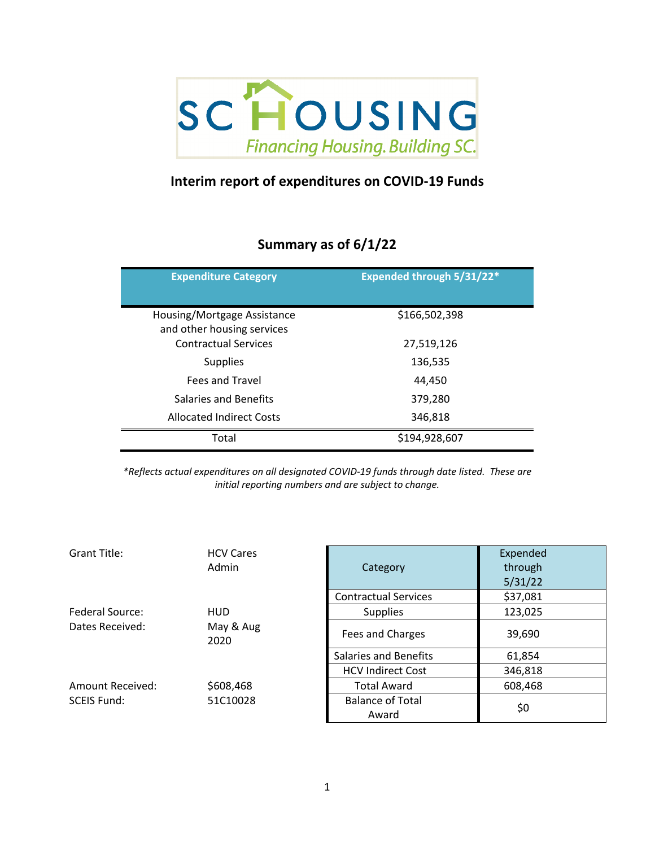

## **Interim report of expenditures on COVID‐19 Funds**

## **Summary as of 6/1/22**

| <b>Expenditure Category</b>                               | Expended through 5/31/22* |
|-----------------------------------------------------------|---------------------------|
| Housing/Mortgage Assistance<br>and other housing services | \$166,502,398             |
| <b>Contractual Services</b>                               | 27,519,126                |
| <b>Supplies</b>                                           | 136,535                   |
| Fees and Travel                                           | 44.450                    |
| Salaries and Benefits                                     | 379,280                   |
| <b>Allocated Indirect Costs</b>                           | 346,818                   |
| Total                                                     | \$194,928,607             |

*\*Reflects actual expenditures on all designated COVID‐19 funds through date listed. These are initial reporting numbers and are subject to change.*

| Grant Title:       | <b>HCV Cares</b><br>Admin | Category                         | Expended<br>through<br>5/31/22 |
|--------------------|---------------------------|----------------------------------|--------------------------------|
|                    |                           | <b>Contractual Services</b>      | \$37,081                       |
| Federal Source:    | <b>HUD</b>                | <b>Supplies</b>                  | 123,025                        |
| Dates Received:    | May & Aug<br>2020         | Fees and Charges                 | 39,690                         |
|                    |                           | Salaries and Benefits            | 61,854                         |
|                    |                           | <b>HCV Indirect Cost</b>         | 346,818                        |
| Amount Received:   | \$608,468                 | <b>Total Award</b>               | 608,468                        |
| <b>SCEIS Fund:</b> | 51C10028                  | <b>Balance of Total</b><br>Award | \$0                            |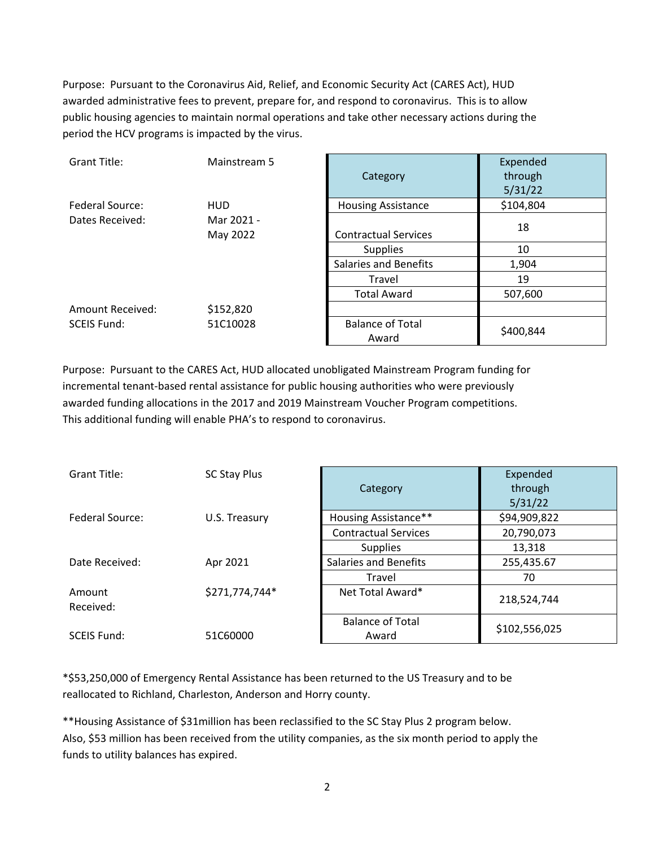Purpose: Pursuant to the Coronavirus Aid, Relief, and Economic Security Act (CARES Act), HUD awarded administrative fees to prevent, prepare for, and respond to coronavirus. This is to allow public housing agencies to maintain normal operations and take other necessary actions during the period the HCV programs is impacted by the virus.

| Grant Title:       | Mainstream 5           | Category                         | Expended<br>through<br>5/31/22 |
|--------------------|------------------------|----------------------------------|--------------------------------|
| Federal Source:    | <b>HUD</b>             | <b>Housing Assistance</b>        | \$104,804                      |
| Dates Received:    | Mar 2021 -<br>May 2022 | <b>Contractual Services</b>      | 18                             |
|                    |                        | <b>Supplies</b>                  | 10                             |
|                    |                        | <b>Salaries and Benefits</b>     | 1,904                          |
|                    |                        | Travel                           | 19                             |
|                    |                        | <b>Total Award</b>               | 507,600                        |
| Amount Received:   | \$152,820              |                                  |                                |
| <b>SCEIS Fund:</b> | 51C10028               | <b>Balance of Total</b><br>Award | \$400,844                      |

Purpose: Pursuant to the CARES Act, HUD allocated unobligated Mainstream Program funding for incremental tenant‐based rental assistance for public housing authorities who were previously awarded funding allocations in the 2017 and 2019 Mainstream Voucher Program competitions. This additional funding will enable PHA's to respond to coronavirus.

| Grant Title:           | SC Stay Plus   |                              | Expended      |
|------------------------|----------------|------------------------------|---------------|
|                        |                | Category                     | through       |
|                        |                |                              | 5/31/22       |
| <b>Federal Source:</b> | U.S. Treasury  | Housing Assistance**         | \$94,909,822  |
|                        |                | <b>Contractual Services</b>  | 20,790,073    |
|                        |                | <b>Supplies</b>              | 13,318        |
| Date Received:         | Apr 2021       | <b>Salaries and Benefits</b> | 255,435.67    |
|                        |                | Travel                       | 70            |
| Amount                 | \$271,774,744* | Net Total Award*             | 218,524,744   |
| Received:              |                |                              |               |
|                        |                | <b>Balance of Total</b>      | \$102,556,025 |
| <b>SCEIS Fund:</b>     | 51C60000       | Award                        |               |

\*\$53,250,000 of Emergency Rental Assistance has been returned to the US Treasury and to be reallocated to Richland, Charleston, Anderson and Horry county.

\*\*Housing Assistance of \$31million has been reclassified to the SC Stay Plus 2 program below. Also, \$53 million has been received from the utility companies, as the six month period to apply the funds to utility balances has expired.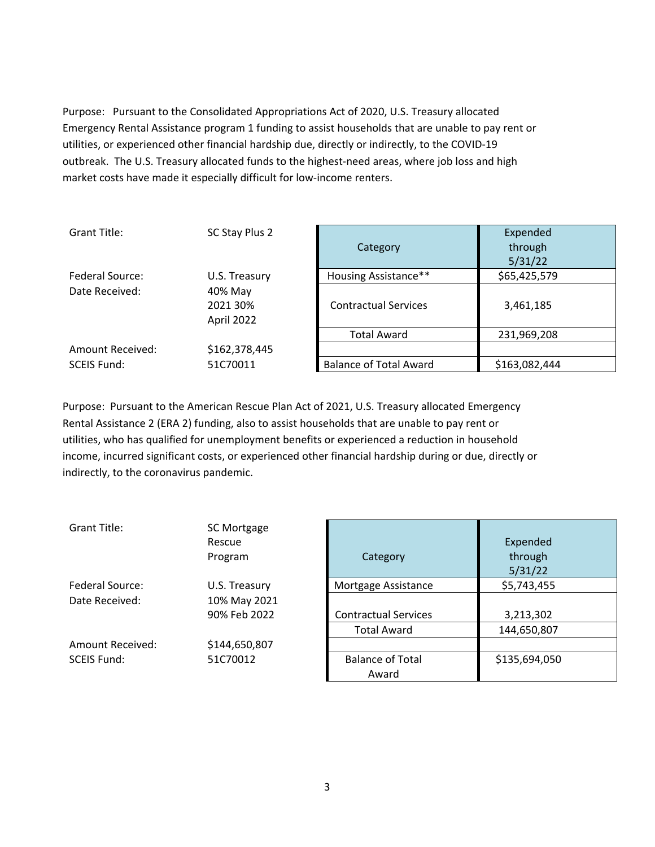Purpose: Pursuant to the Consolidated Appropriations Act of 2020, U.S. Treasury allocated Emergency Rental Assistance program 1 funding to assist households that are unable to pay rent or utilities, or experienced other financial hardship due, directly or indirectly, to the COVID‐19 outbreak. The U.S. Treasury allocated funds to the highest-need areas, where job loss and high market costs have made it especially difficult for low-income renters.

| Grant Title:                                        | SC Stay Plus 2 | Category                      | Expended<br>through<br>5/31/22 |
|-----------------------------------------------------|----------------|-------------------------------|--------------------------------|
| Federal Source:                                     | U.S. Treasury  | <b>Housing Assistance**</b>   | \$65,425,579                   |
| Date Received:<br>40% May<br>2021 30%<br>April 2022 |                | <b>Contractual Services</b>   | 3,461,185                      |
|                                                     |                | <b>Total Award</b>            | 231,969,208                    |
| Amount Received:                                    | \$162,378,445  |                               |                                |
| <b>SCEIS Fund:</b>                                  | 51C70011       | <b>Balance of Total Award</b> | \$163,082,444                  |

Purpose: Pursuant to the American Rescue Plan Act of 2021, U.S. Treasury allocated Emergency Rental Assistance 2 (ERA 2) funding, also to assist households that are unable to pay rent or utilities, who has qualified for unemployment benefits or experienced a reduction in household income, incurred significant costs, or experienced other financial hardship during or due, directly or indirectly, to the coronavirus pandemic.

| Grant Title:            | SC Mortgage<br>Rescue<br>Program | Category                         | Expended<br>through<br>5/31/22 |
|-------------------------|----------------------------------|----------------------------------|--------------------------------|
| Federal Source:         | U.S. Treasury                    | Mortgage Assistance              | \$5,743,455                    |
| Date Received:          | 10% May 2021                     |                                  |                                |
|                         | 90% Feb 2022                     | <b>Contractual Services</b>      | 3,213,302                      |
|                         |                                  | <b>Total Award</b>               | 144,650,807                    |
| <b>Amount Received:</b> | \$144,650,807                    |                                  |                                |
| <b>SCEIS Fund:</b>      | 51C70012                         | <b>Balance of Total</b><br>Award | \$135,694,050                  |

| Category                                          | Expended<br>through<br>5/31/22 |
|---------------------------------------------------|--------------------------------|
| Mortgage Assistance                               | \$5,743,455                    |
| <b>Contractual Services</b><br><b>Total Award</b> | 3,213,302<br>144,650,807       |
| <b>Balance of Total</b><br>Award                  | \$135,694,050                  |